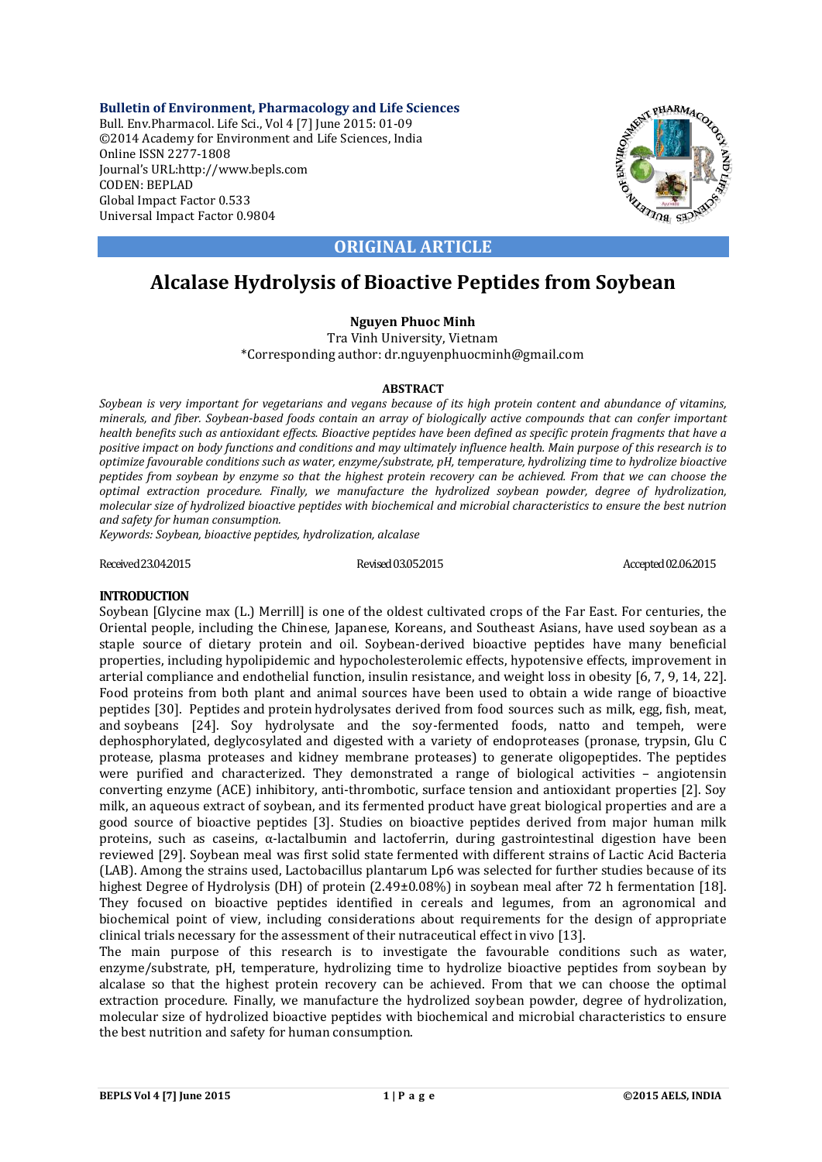**Bulletin of Environment, Pharmacology and Life Sciences** Bull. Env.Pharmacol. Life Sci., Vol 4 [7] June 2015: 01-09 ©2014 Academy for Environment and Life Sciences, India Online ISSN 2277-1808 Journal's URL:http://www.bepls.com CODEN: BEPLAD Global Impact Factor 0.533 Universal Impact Factor 0.9804



## **ORIGINAL ARTICLE**

# **Alcalase Hydrolysis of Bioactive Peptides from Soybean**

## **Nguyen Phuoc Minh**

Tra Vinh University, Vietnam \*Corresponding author: dr.nguyenphuocminh@gmail.com

## **ABSTRACT**

*Soybean is very important for vegetarians and vegans because of its high protein content and abundance of vitamins, minerals, and fiber. Soybean-based foods contain an array of biologically active compounds that can confer important health benefits such as antioxidant effects. Bioactive peptides have been defined as specific protein fragments that have a positive impact on body functions and conditions and may ultimately influence health. Main purpose of this research is to optimize favourable conditions such as water, enzyme/substrate, pH, temperature, hydrolizing time to hydrolize bioactive peptides from soybean by enzyme so that the highest protein recovery can be achieved. From that we can choose the optimal extraction procedure. Finally, we manufacture the hydrolized soybean powder, degree of hydrolization, molecular size of hydrolized bioactive peptides with biochemical and microbial characteristics to ensure the best nutrion and safety for human consumption.*

*Keywords: Soybean, bioactive peptides, hydrolization, alcalase*

Received 23.04.2015 Revised 03.05.2015 Revised 03.05.2015 Accepted 02.06.2015

## **INTRODUCTION**

Soybean [Glycine max (L.) Merrill] is one of the oldest cultivated crops of the Far East. For centuries, the Oriental people, including the Chinese, Japanese, Koreans, and Southeast Asians, have used soybean as a staple source of dietary protein and oil. Soybean-derived bioactive peptides have many beneficial properties, including hypolipidemic and hypocholesterolemic effects, hypotensive effects, improvement in arterial compliance and endothelial function, insulin resistance, and weight loss in obesity [6, 7, 9, 14, 22]. Food proteins from both plant and animal sources have been used to obtain a wide range of bioactive peptides [30]. Peptides and protein hydrolysates derived from food sources such as milk, egg, fish, meat, and soybeans [24]. Soy hydrolysate and the soy-fermented foods, natto and tempeh, were dephosphorylated, deglycosylated and digested with a variety of endoproteases (pronase, trypsin, Glu C protease, plasma proteases and kidney membrane proteases) to generate oligopeptides. The peptides were purified and characterized. They demonstrated a range of biological activities – angiotensin converting enzyme (ACE) inhibitory, anti-thrombotic, surface tension and antioxidant properties [2]. Soy milk, an aqueous extract of soybean, and its fermented product have great biological properties and are a good source of bioactive peptides [3]. Studies on bioactive peptides derived from major human milk proteins, such as caseins, α-lactalbumin and lactoferrin, during gastrointestinal digestion have been reviewed [29]. Soybean meal was first solid state fermented with different strains of Lactic Acid Bacteria (LAB). Among the strains used, Lactobacillus plantarum Lp6 was selected for further studies because of its highest Degree of Hydrolysis (DH) of protein  $(2.49\pm0.08\%)$  in soybean meal after 72 h fermentation [18]. They focused on bioactive peptides identified in cereals and legumes, from an agronomical and biochemical point of view, including considerations about requirements for the design of appropriate clinical trials necessary for the assessment of their nutraceutical effect in vivo [13].

The main purpose of this research is to investigate the favourable conditions such as water, enzyme/substrate, pH, temperature, hydrolizing time to hydrolize bioactive peptides from soybean by alcalase so that the highest protein recovery can be achieved. From that we can choose the optimal extraction procedure. Finally, we manufacture the hydrolized soybean powder, degree of hydrolization, molecular size of hydrolized bioactive peptides with biochemical and microbial characteristics to ensure the best nutrition and safety for human consumption.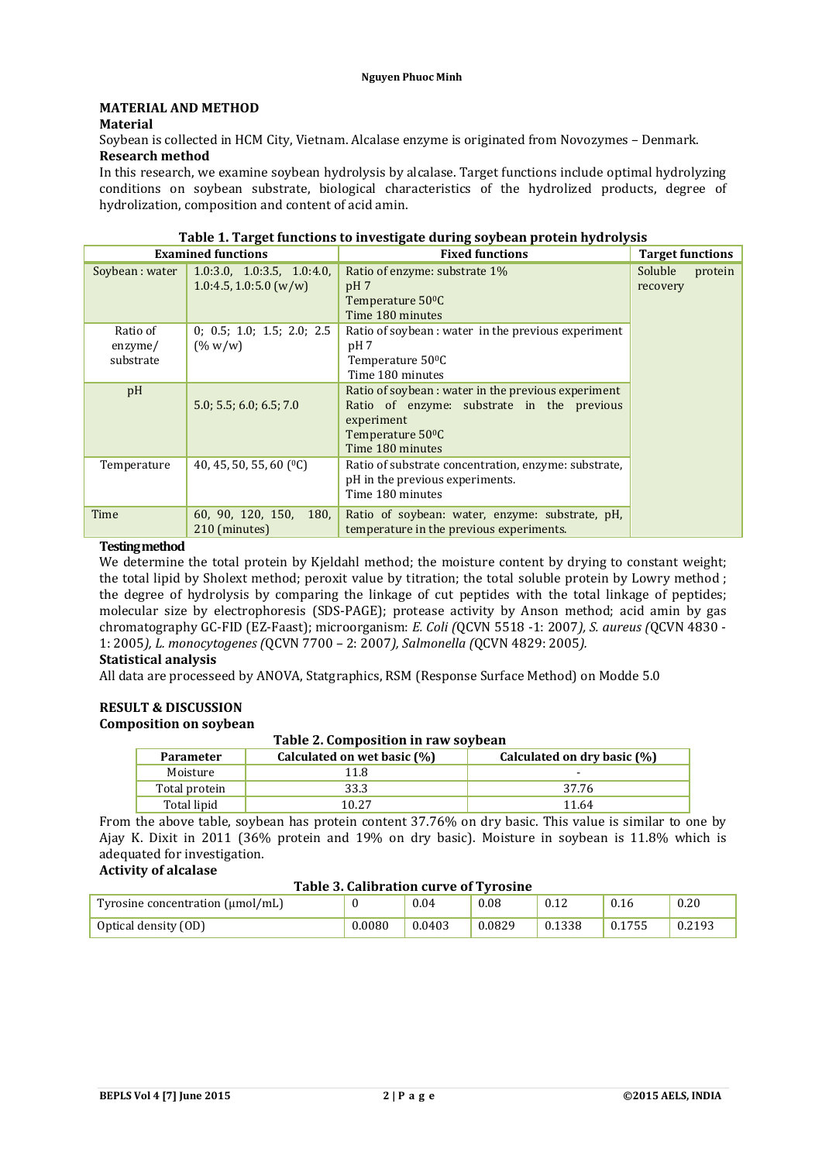## **MATERIAL AND METHOD**

#### **Material**

Soybean is collected in HCM City, Vietnam. Alcalase enzyme is originated from Novozymes – Denmark. **Research method**

In this research, we examine soybean hydrolysis by alcalase. Target functions include optimal hydrolyzing conditions on soybean substrate, biological characteristics of the hydrolized products, degree of hydrolization, composition and content of acid amin.

| Table 1. Target functions to investigate during soybean protein hydrolysis |                                                        |                                                                                                                                                                     |                                |  |  |  |
|----------------------------------------------------------------------------|--------------------------------------------------------|---------------------------------------------------------------------------------------------------------------------------------------------------------------------|--------------------------------|--|--|--|
|                                                                            | <b>Examined functions</b>                              | <b>Fixed functions</b>                                                                                                                                              | <b>Target functions</b>        |  |  |  |
| Soybean: water                                                             | 1.0:3.0, 1.0:3.5, 1.0:4.0,<br>$1.0:4.5, 1.0:5.0$ (w/w) | Ratio of enzyme: substrate 1%<br>pH <sub>7</sub><br>Temperature 50 <sup>o</sup> C<br>Time 180 minutes                                                               | Soluble<br>protein<br>recovery |  |  |  |
| Ratio of<br>enzyme/<br>substrate                                           | 0; 0.5; 1.0; 1.5; 2.0; 2.5<br>$($ % w/w)               | Ratio of soybean : water in the previous experiment<br>pH 7<br>Temperature 50 <sup>o</sup> C<br>Time 180 minutes                                                    |                                |  |  |  |
| pH                                                                         | 5.0; 5.5; 6.0; 6.5; 7.0                                | Ratio of soybean: water in the previous experiment<br>Ratio of enzyme: substrate in the previous<br>experiment<br>Temperature 50 <sup>o</sup> C<br>Time 180 minutes |                                |  |  |  |
| Temperature                                                                | 40, 45, 50, 55, 60 $(°C)$                              | Ratio of substrate concentration, enzyme: substrate,<br>pH in the previous experiments.<br>Time 180 minutes                                                         |                                |  |  |  |
| Time                                                                       | 60, 90, 120, 150,<br>180.<br>210 (minutes)             | Ratio of soybean: water, enzyme: substrate, pH,<br>temperature in the previous experiments.                                                                         |                                |  |  |  |

# **Testingmethod**

We determine the total protein by Kjeldahl method; the moisture content by drying to constant weight; the total lipid by Sholext method; peroxit value by titration; the total soluble protein by Lowry method ; the degree of hydrolysis by comparing the linkage of cut peptides with the total linkage of peptides; molecular size by electrophoresis (SDS-PAGE); protease activity by Anson method; acid amin by gas chromatography GC-FID (EZ-Faast); microorganism: *E. Coli (*QCVN 5518 -1: 2007*), S. aureus (*QCVN 4830 - 1: 2005*), L. monocytogenes (*QCVN 7700 – 2: 2007*), Salmonella (*QCVN 4829: 2005*).*

#### **Statistical analysis**

All data are processeed by ANOVA, Statgraphics, RSM (Response Surface Method) on Modde 5.0

#### **RESULT & DISCUSSION Composition on soybean**

#### **Table 2. Composition in raw soybean**

| <b>Parameter</b> | Calculated on wet basic (%) | Calculated on dry basic (%) |
|------------------|-----------------------------|-----------------------------|
| Moisture         | 11.8                        |                             |
| Total protein    | 33.3                        | 37.76                       |
| Total lipid      | 10.27                       | 11.64                       |

From the above table, soybean has protein content 37.76% on dry basic. This value is similar to one by Ajay K. Dixit in 2011 (36% protein and 19% on dry basic). Moisture in soybean is 11.8% which is adequated for investigation. **Activity of alcalase**

## **Table 3. Calibration curve of Tyrosine**

| Tyrosine concentration $(\mu mol/mL)$ |        | 0.04   | 0.08   | 0.12   | 0.16   | 0.20   |
|---------------------------------------|--------|--------|--------|--------|--------|--------|
| Optical density (OD)                  | 0.0080 | 0.0403 | 0.0829 | 0.1338 | 0.1755 | 0.2193 |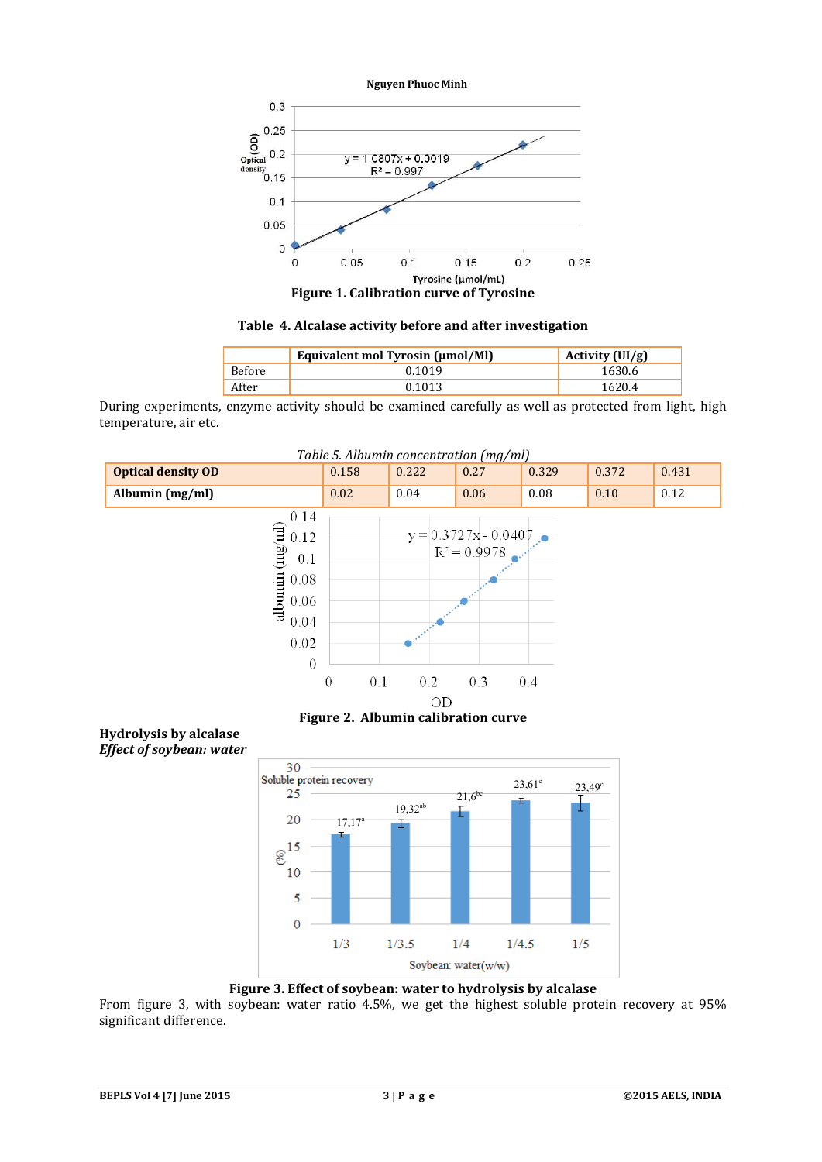

**Table 4. Alcalase activity before and after investigation**

|               | Equivalent mol Tyrosin (µmol/Ml) | Activity $(UI/g)$ |
|---------------|----------------------------------|-------------------|
| <b>Before</b> | 0.1019                           | 1630.6            |
| After         | 0 1 0 1 3                        | 1620.4            |

During experiments, enzyme activity should be examined carefully as well as protected from light, high temperature, air etc.



**Figure 2. Albumin calibration curve**

#### **Hydrolysis by alcalase** *Effect of soybean: water*



**Figure 3. Effect of soybean: water to hydrolysis by alcalase**

From figure 3, with soybean: water ratio 4.5%, we get the highest soluble protein recovery at 95% significant difference.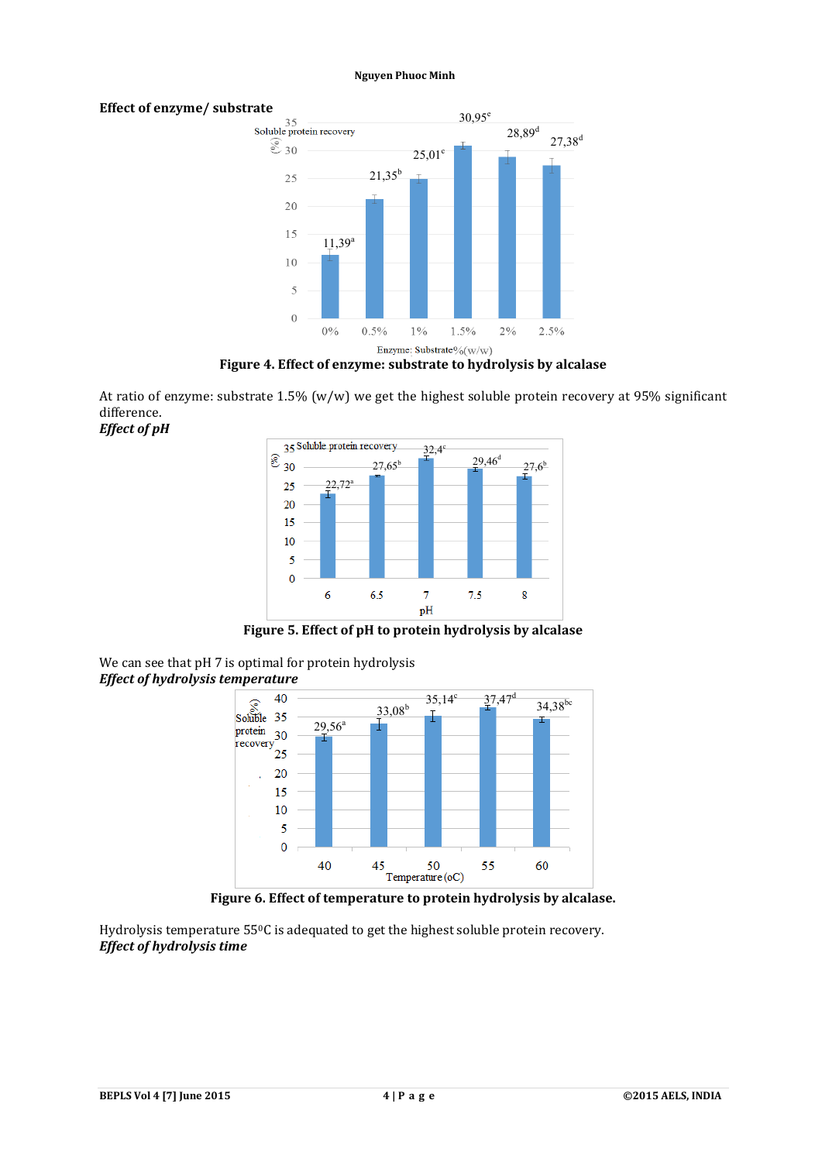# **Effect of enzyme/ substrate**<br>Soluble protein recovery



**Figure 4. Effect of enzyme: substrate to hydrolysis by alcalase**

At ratio of enzyme: substrate 1.5% (w/w) we get the highest soluble protein recovery at 95% significant difference. *Effect of pH*



**Figure 5. Effect of pH to protein hydrolysis by alcalase**





**Figure 6. Effect of temperature to protein hydrolysis by alcalase.**

Hydrolysis temperature 550C is adequated to get the highest soluble protein recovery. *Effect of hydrolysis time*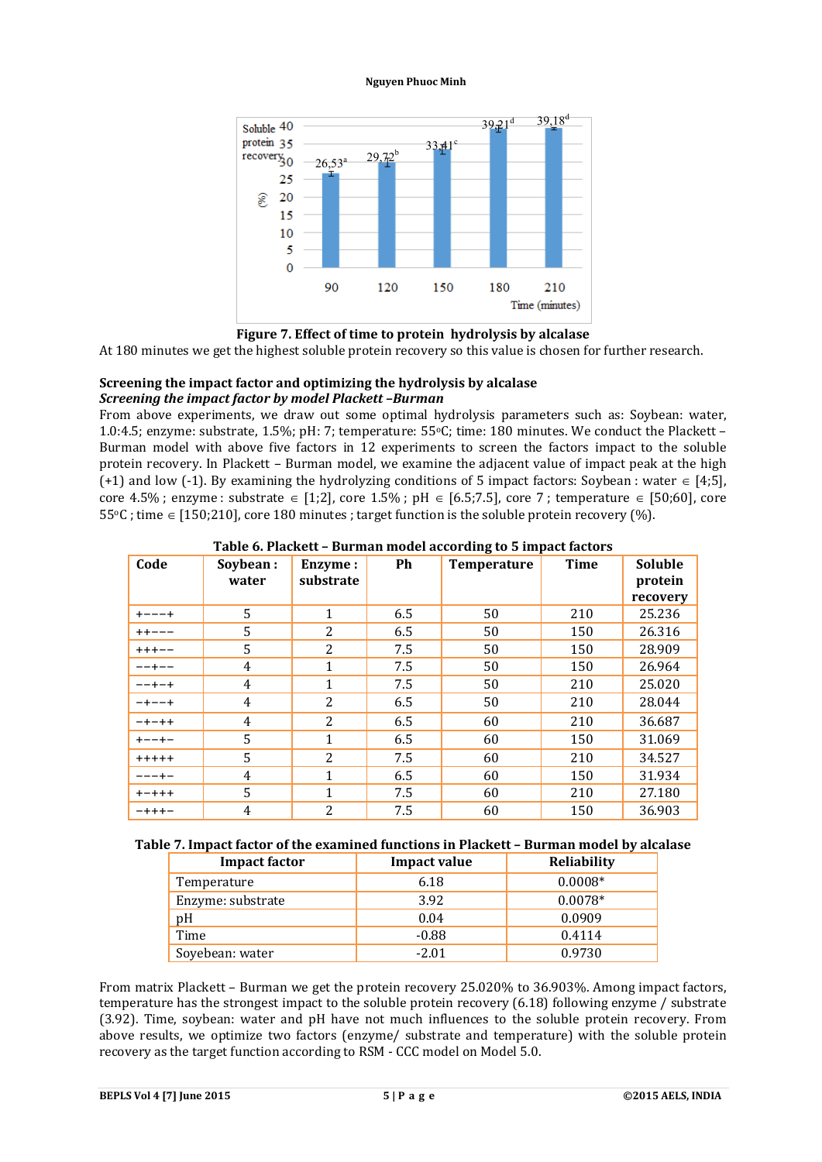



At 180 minutes we get the highest soluble protein recovery so this value is chosen for further research.

#### **Screening the impact factor and optimizing the hydrolysis by alcalase** *Screening the impact factor by model Plackett –Burman*

From above experiments, we draw out some optimal hydrolysis parameters such as: Soybean: water, 1.0:4.5; enzyme: substrate, 1.5%; pH: 7; temperature: 55°C; time: 180 minutes. We conduct the Plackett – Burman model with above five factors in 12 experiments to screen the factors impact to the soluble protein recovery. In Plackett – Burman model, we examine the adjacent value of impact peak at the high  $(+1)$  and low  $(-1)$ . By examining the hydrolyzing conditions of 5 impact factors: Soybean : water  $\in [4;5]$ , core 4.5%; enzyme : substrate  $\in$  [1;2], core 1.5%; pH  $\in$  [6.5;7.5], core 7; temperature  $\in$  [50;60], core  $55\degree$ C; time  $\in$  [150;210], core 180 minutes; target function is the soluble protein recovery (%).

| Code        | Soybean:<br>water | Enzyme:<br>substrate | Ph  | <b>Temperature</b> | <b>Time</b> | <b>Soluble</b><br>protein<br>recovery |
|-------------|-------------------|----------------------|-----|--------------------|-------------|---------------------------------------|
| $+ - - - +$ | 5                 | $\mathbf{1}$         | 6.5 | 50                 | 210         | 25.236                                |
| $+ + - - -$ | 5                 | $\overline{2}$       | 6.5 | 50                 | 150         | 26.316                                |
| $++++-$     | 5                 | $\overline{2}$       | 7.5 | 50                 | 150         | 28.909                                |
| $- - + - -$ | 4                 | $\mathbf{1}$         | 7.5 | 50                 | 150         | 26.964                                |
| $- - + - +$ | 4                 | $\mathbf{1}$         | 7.5 | 50                 | 210         | 25.020                                |
| $-+--+$     | 4                 | $\overline{2}$       | 6.5 | 50                 | 210         | 28.044                                |
| $-+ - + +$  | 4                 | $\overline{2}$       | 6.5 | 60                 | 210         | 36.687                                |
| $+ - - + -$ | 5                 | $\mathbf{1}$         | 6.5 | 60                 | 150         | 31.069                                |
| $+++++$     | 5                 | $\overline{2}$       | 7.5 | 60                 | 210         | 34.527                                |
| ---+-       | 4                 | $\mathbf{1}$         | 6.5 | 60                 | 150         | 31.934                                |
| $+ - + + +$ | 5                 | $\mathbf{1}$         | 7.5 | 60                 | 210         | 27.180                                |
| $- + + + -$ | 4                 | 2                    | 7.5 | 60                 | 150         | 36.903                                |

**Table 6. Plackett – Burman model according to 5 impact factors**

## **Table 7. Impact factor of the examined functions in Plackett – Burman model by alcalase**

| <b>Impact factor</b> | <b>Impact value</b> | Reliability |
|----------------------|---------------------|-------------|
| Temperature          | 6.18                | $0.0008*$   |
| Enzyme: substrate    | 3.92                | $0.0078*$   |
| pH                   | 0.04                | 0.0909      |
| Time                 | $-0.88$             | 0.4114      |
| Soyebean: water      | $-2.01$             | 0.9730      |

From matrix Plackett – Burman we get the protein recovery 25.020% to 36.903%. Among impact factors, temperature has the strongest impact to the soluble protein recovery (6.18) following enzyme / substrate (3.92). Time, soybean: water and pH have not much influences to the soluble protein recovery. From above results, we optimize two factors (enzyme/ substrate and temperature) with the soluble protein recovery as the target function according to RSM - CCC model on Model 5.0.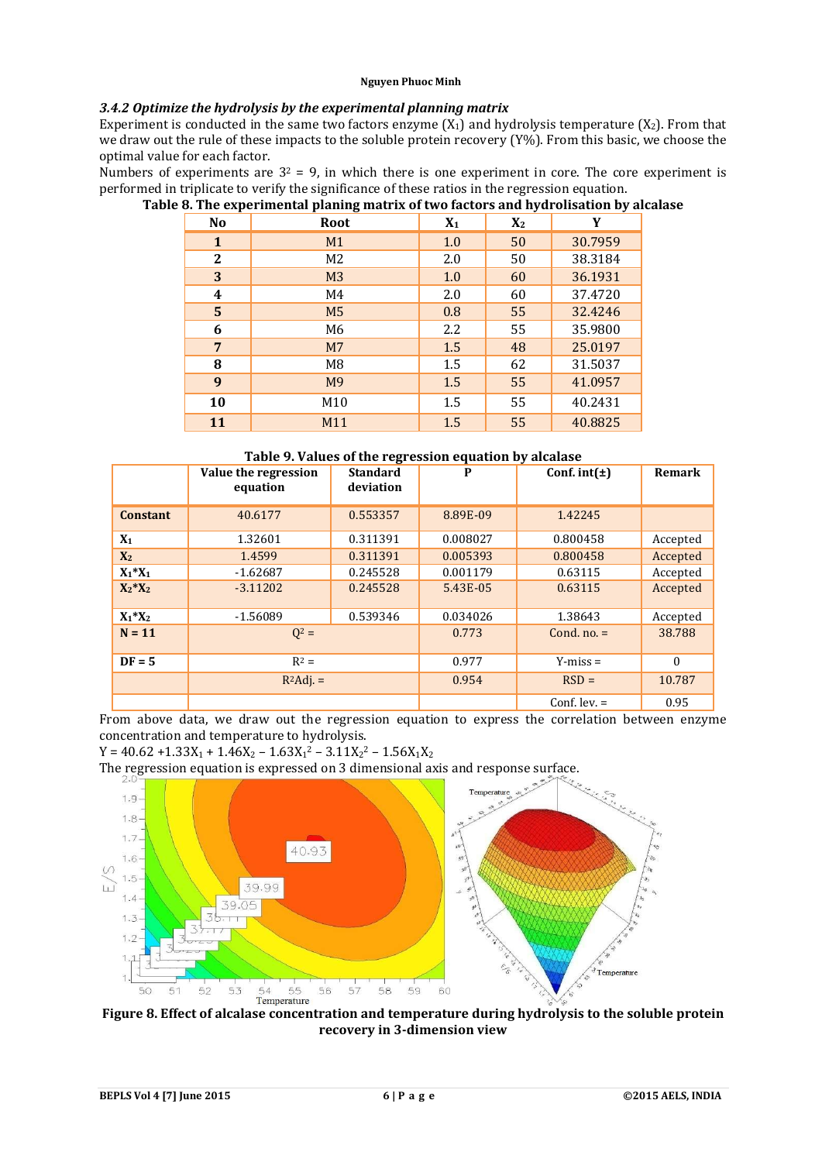## *3.4.2 Optimize the hydrolysis by the experimental planning matrix*

Experiment is conducted in the same two factors enzyme  $(X_1)$  and hydrolysis temperature  $(X_2)$ . From that we draw out the rule of these impacts to the soluble protein recovery (Y%). From this basic, we choose the optimal value for each factor.

Numbers of experiments are  $3^2$  = 9, in which there is one experiment in core. The core experiment is performed in triplicate to verify the significance of these ratios in the regression equation.

|  | Table 8. The experimental planing matrix of two factors and hydrolisation by alcalase |  |
|--|---------------------------------------------------------------------------------------|--|

| N <sub>0</sub> | <b>Root</b>     | $X_1$ | $X_2$ | Y       |
|----------------|-----------------|-------|-------|---------|
| 1              | M1              | 1.0   | 50    | 30.7959 |
| 2              | M <sub>2</sub>  | 2.0   | 50    | 38.3184 |
| 3              | M <sub>3</sub>  | 1.0   | 60    | 36.1931 |
| 4              | M4              | 2.0   | 60    | 37.4720 |
| 5              | M <sub>5</sub>  | 0.8   | 55    | 32.4246 |
| 6              | M6              | 2.2   | 55    | 35.9800 |
| 7              | M <sub>7</sub>  | 1.5   | 48    | 25.0197 |
| 8              | M8              | 1.5   | 62    | 31.5037 |
| 9              | M <sub>9</sub>  | 1.5   | 55    | 41.0957 |
| 10             | M <sub>10</sub> | 1.5   | 55    | 40.2431 |
| 11             | M11             | 1.5   | 55    | 40.8825 |

| Table 5. Values of the regression equation by alcalase |                                  |                              |          |                  |          |  |  |
|--------------------------------------------------------|----------------------------------|------------------------------|----------|------------------|----------|--|--|
|                                                        | Value the regression<br>equation | <b>Standard</b><br>deviation | P        | Conf. $int(\pm)$ | Remark   |  |  |
| <b>Constant</b>                                        | 40.6177                          | 0.553357                     | 8.89E-09 | 1.42245          |          |  |  |
| $X_1$                                                  | 1.32601                          | 0.311391                     | 0.008027 | 0.800458         | Accepted |  |  |
| X <sub>2</sub>                                         | 1.4599                           | 0.311391                     | 0.005393 | 0.800458         | Accepted |  |  |
| $X_1^*X_1$                                             | $-1.62687$                       | 0.245528                     | 0.001179 | 0.63115          | Accepted |  |  |
| $X_2^*X_2$                                             | $-3.11202$                       | 0.245528                     | 5.43E-05 | 0.63115          | Accepted |  |  |
| $X_1^*X_2$                                             | $-1.56089$                       | 0.539346                     | 0.034026 | 1.38643          | Accepted |  |  |
| $N = 11$                                               | $Q^2 =$                          |                              | 0.773    | Cond. $no. =$    | 38.788   |  |  |
| $DF = 5$                                               | $R^2 =$                          |                              | 0.977    | $Y - miss =$     | $\Omega$ |  |  |
|                                                        | $R^2\text{Adj.} =$               | 0.954                        |          | $RSD =$          | 10.787   |  |  |
|                                                        |                                  |                              |          | Conf. $lev =$    | 0.95     |  |  |

## **Table 9. Values of the regression equation by alcalase**

From above data, we draw out the regression equation to express the correlation between enzyme concentration and temperature to hydrolysis.

 $Y = 40.62 + 1.33X_1 + 1.46X_2 - 1.63X_1^2 - 3.11X_2^2 - 1.56X_1X_2$ 

The regression equation is expressed on 3 dimensional axis and response surface.



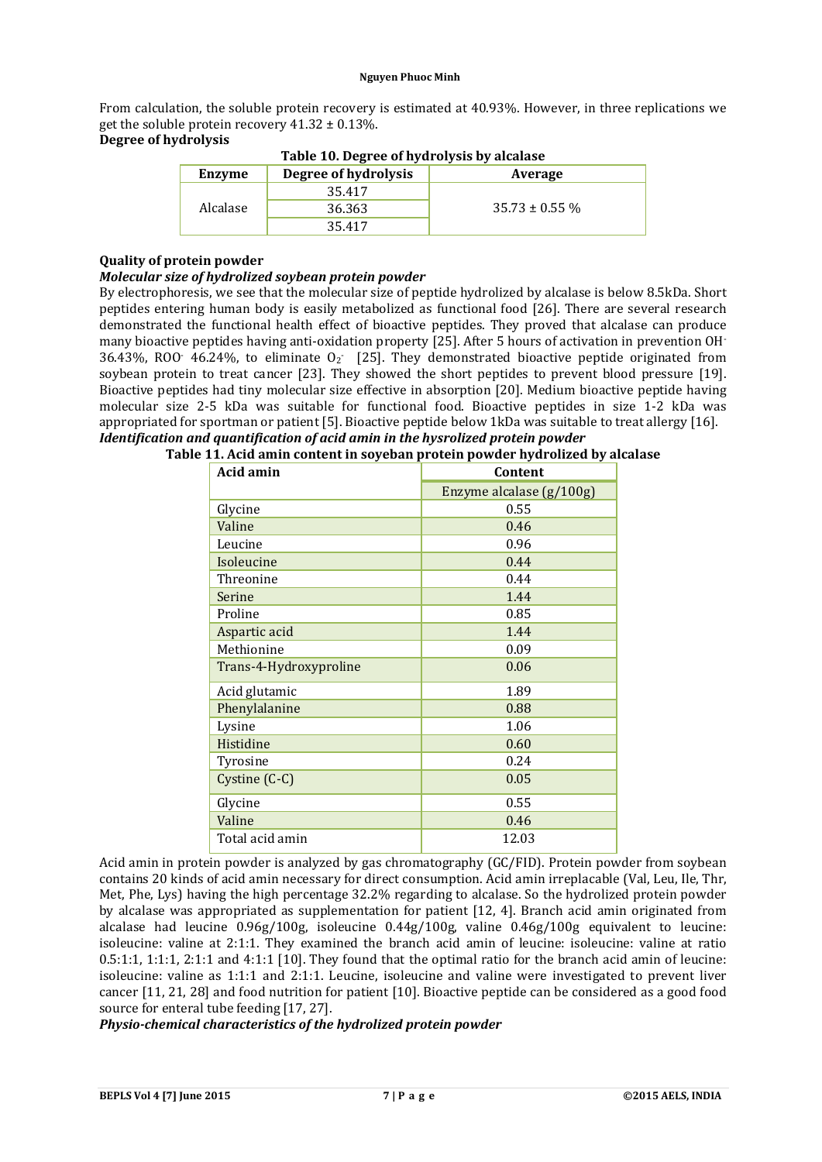From calculation, the soluble protein recovery is estimated at 40.93%. However, in three replications we get the soluble protein recovery  $41.32 \pm 0.13\%$ .

## **Degree of hydrolysis**

| Table To. Degree of hydrolysis by alcalase |                      |                    |  |  |  |
|--------------------------------------------|----------------------|--------------------|--|--|--|
| Enzyme                                     | Degree of hydrolysis | Average            |  |  |  |
|                                            | 35.417               |                    |  |  |  |
| Alcalase                                   | 36.363               | $35.73 \pm 0.55$ % |  |  |  |
|                                            | 35.417               |                    |  |  |  |

# **Table 10. Degree of hydrolysis by alcalase**

## **Quality of protein powder**

## *Molecular size of hydrolized soybean protein powder*

By electrophoresis, we see that the molecular size of peptide hydrolized by alcalase is below 8.5kDa. Short peptides entering human body is easily metabolized as functional food [26]. There are several research demonstrated the functional health effect of bioactive peptides. They proved that alcalase can produce many bioactive peptides having anti-oxidation property [25]. After 5 hours of activation in prevention OH- 36.43%, ROO<sup>-</sup> 46.24%, to eliminate  $O<sub>2</sub>$  [25]. They demonstrated bioactive peptide originated from soybean protein to treat cancer [23]. They showed the short peptides to prevent blood pressure [19]. Bioactive peptides had tiny molecular size effective in absorption [20]. Medium bioactive peptide having molecular size 2-5 kDa was suitable for functional food. Bioactive peptides in size 1-2 kDa was appropriated for sportman or patient [5]. Bioactive peptide below 1kDa was suitable to treat allergy [16]. *Identification and quantification of acid amin in the hysrolized protein powder*

| Acid amin              | Content                  |  |  |  |
|------------------------|--------------------------|--|--|--|
|                        | Enzyme alcalase (g/100g) |  |  |  |
| Glycine                | 0.55                     |  |  |  |
| Valine                 | 0.46                     |  |  |  |
| Leucine                | 0.96                     |  |  |  |
| Isoleucine             | 0.44                     |  |  |  |
| Threonine              | 0.44                     |  |  |  |
| Serine                 | 1.44                     |  |  |  |
| Proline                | 0.85                     |  |  |  |
| Aspartic acid          | 1.44                     |  |  |  |
| Methionine             | 0.09                     |  |  |  |
| Trans-4-Hydroxyproline | 0.06                     |  |  |  |
| Acid glutamic          | 1.89                     |  |  |  |
| Phenylalanine          | 0.88                     |  |  |  |
| Lysine                 | 1.06                     |  |  |  |
| Histidine              | 0.60                     |  |  |  |
| Tyrosine               | 0.24                     |  |  |  |
| Cystine (C-C)          | 0.05                     |  |  |  |
| Glycine                | 0.55                     |  |  |  |
| Valine                 | 0.46                     |  |  |  |
| Total acid amin        | 12.03                    |  |  |  |

|  |  |  |  | Table 11. Acid amin content in soyeban protein powder hydrolized by alcalase |
|--|--|--|--|------------------------------------------------------------------------------|

Acid amin in protein powder is analyzed by gas chromatography (GC/FID). Protein powder from soybean contains 20 kinds of acid amin necessary for direct consumption. Acid amin irreplacable (Val, Leu, Ile, Thr, Met, Phe, Lys) having the high percentage 32.2% regarding to alcalase. So the hydrolized protein powder by alcalase was appropriated as supplementation for patient [12, 4]. Branch acid amin originated from alcalase had leucine 0.96g/100g, isoleucine 0.44g/100g, valine 0.46g/100g equivalent to leucine: isoleucine: valine at 2:1:1. They examined the branch acid amin of leucine: isoleucine: valine at ratio 0.5:1:1, 1:1:1, 2:1:1 and 4:1:1 [10]. They found that the optimal ratio for the branch acid amin of leucine: isoleucine: valine as 1:1:1 and 2:1:1. Leucine, isoleucine and valine were investigated to prevent liver cancer [11, 21, 28] and food nutrition for patient [10]. Bioactive peptide can be considered as a good food source for enteral tube feeding [17, 27].

*Physio-chemical characteristics of the hydrolized protein powder*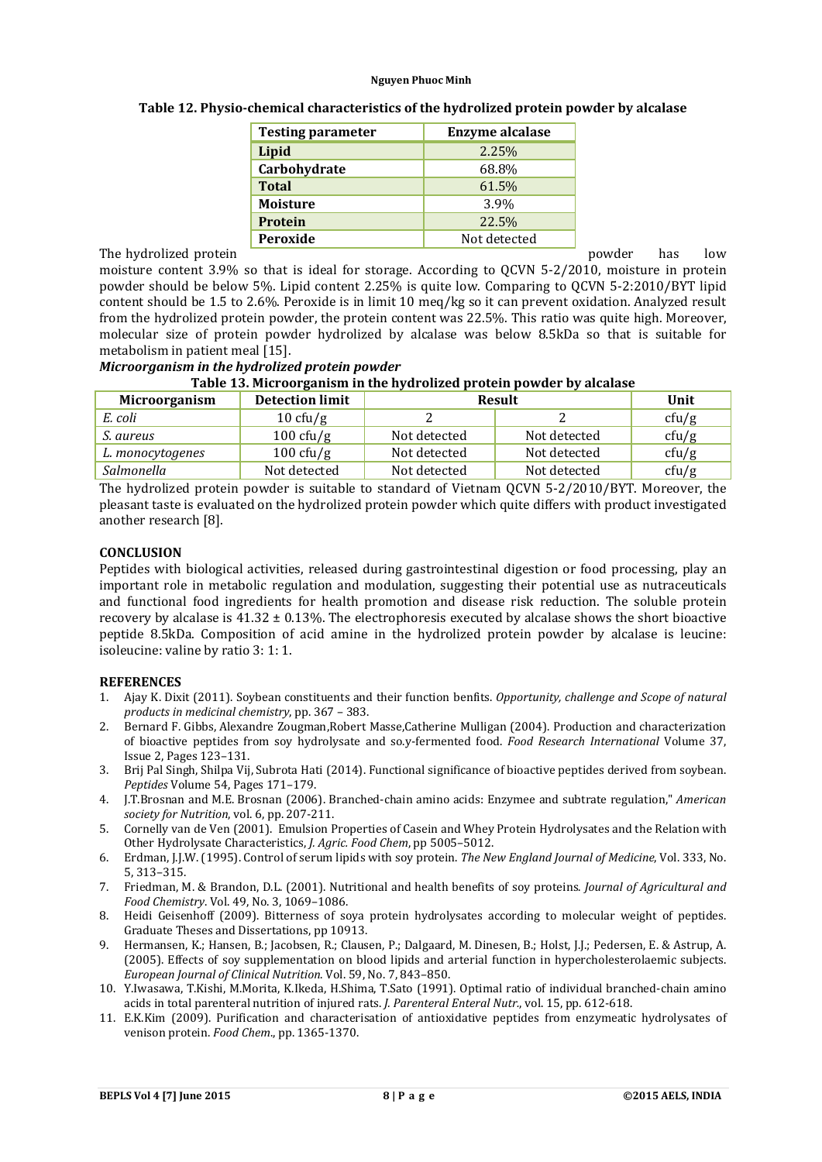| <b>Testing parameter</b> | <b>Enzyme alcalase</b> |  |
|--------------------------|------------------------|--|
| Lipid                    | 2.25%                  |  |
| Carbohydrate             | 68.8%                  |  |
| <b>Total</b>             | 61.5%                  |  |
| <b>Moisture</b>          | 3.9%                   |  |
| Protein                  | 22.5%                  |  |
| Peroxide                 | Not detected           |  |

The hydrolized protein **produced** protein powder has low

moisture content 3.9% so that is ideal for storage. According to QCVN 5-2/2010, moisture in protein powder should be below 5%. Lipid content 2.25% is quite low. Comparing to QCVN 5-2:2010/BYT lipid content should be 1.5 to 2.6%. Peroxide is in limit 10 meq/kg so it can prevent oxidation. Analyzed result from the hydrolized protein powder, the protein content was 22.5%. This ratio was quite high. Moreover, molecular size of protein powder hydrolized by alcalase was below 8.5kDa so that is suitable for metabolism in patient meal [15].

## *Microorganism in the hydrolized protein powder*

| Microorganism    | <b>Detection limit</b> | <b>Result</b> |              | Unit  |
|------------------|------------------------|---------------|--------------|-------|
| E. coli          | $10 \text{ cfty/g}$    |               |              | ctu/g |
| S. aureus        | $100 \text{ cfty/g}$   | Not detected  | Not detected | ctu/g |
| L. monocytogenes | $100 \text{ cfty/g}$   | Not detected  | Not detected | ctu/g |
| Salmonella       | Not detected           | Not detected  | Not detected | cfu/g |

The hydrolized protein powder is suitable to standard of Vietnam QCVN 5-2/2010/BYT. Moreover, the pleasant taste is evaluated on the hydrolized protein powder which quite differs with product investigated another research [8].

#### **CONCLUSION**

Peptides with biological activities, released during gastrointestinal digestion or food processing, play an important role in metabolic regulation and modulation, suggesting their potential use as nutraceuticals and functional food ingredients for health promotion and disease risk reduction. The soluble protein recovery by alcalase is  $41.32 \pm 0.13\%$ . The electrophoresis executed by alcalase shows the short bioactive peptide 8.5kDa. Composition of acid amine in the hydrolized protein powder by alcalase is leucine: isoleucine: valine by ratio 3: 1: 1.

#### **REFERENCES**

- 1. Ajay K. Dixit (2011). Soybean constituents and their function benfits. *Opportunity, challenge and Scope of natural products in medicinal chemistry*, pp. 367 – 383.
- 2. Bernard F. Gibbs, Alexandre Zougman,Robert Masse,Catherine Mulligan (2004). Production and characterization of bioactive peptides from soy hydrolysate and so.y-fermented food. *Food Research International* Volume 37, Issue 2, Pages 123–131.
- 3. Brij Pal Singh, Shilpa Vij, Subrota Hati (2014). Functional significance of bioactive peptides derived from soybean. *Peptides* Volume 54, Pages 171–179.
- 4. J.T.Brosnan and M.E. Brosnan (2006). Branched-chain amino acids: Enzymee and subtrate regulation," *American society for Nutrition*, vol. 6, pp. 207-211.
- 5. Cornelly van de Ven (2001). Emulsion Properties of Casein and Whey Protein Hydrolysates and the Relation with Other Hydrolysate Characteristics, *J. Agric. Food Chem*, pp 5005–5012.
- 6. Erdman, J.J.W. (1995). Control of serum lipids with soy protein. *The New England Journal of Medicine*, Vol. 333, No. 5, 313–315.
- 7. Friedman, M. & Brandon, D.L. (2001). Nutritional and health benefits of soy proteins. *Journal of Agricultural and Food Chemistry*. Vol. 49, No. 3, 1069–1086.
- 8. Heidi Geisenhoff (2009). Bitterness of soya protein hydrolysates according to molecular weight of peptides. Graduate Theses and Dissertations, pp 10913.
- 9. Hermansen, K.; Hansen, B.; Jacobsen, R.; Clausen, P.; Dalgaard, M. Dinesen, B.; Holst, J.J.; Pedersen, E. & Astrup, A. (2005). Effects of soy supplementation on blood lipids and arterial function in hypercholesterolaemic subjects. *European Journal of Clinical Nutrition*. Vol. 59, No. 7, 843–850.
- 10. Y.Iwasawa, T.Kishi, M.Morita, K.Ikeda, H.Shima, T.Sato (1991). Optimal ratio of individual branched-chain amino acids in total parenteral nutrition of injured rats. *J. Parenteral Enteral Nutr.*, vol. 15, pp. 612-618.
- 11. E.K.Kim (2009). Purification and characterisation of antioxidative peptides from enzymeatic hydrolysates of venison protein. *Food Chem*., pp. 1365-1370.